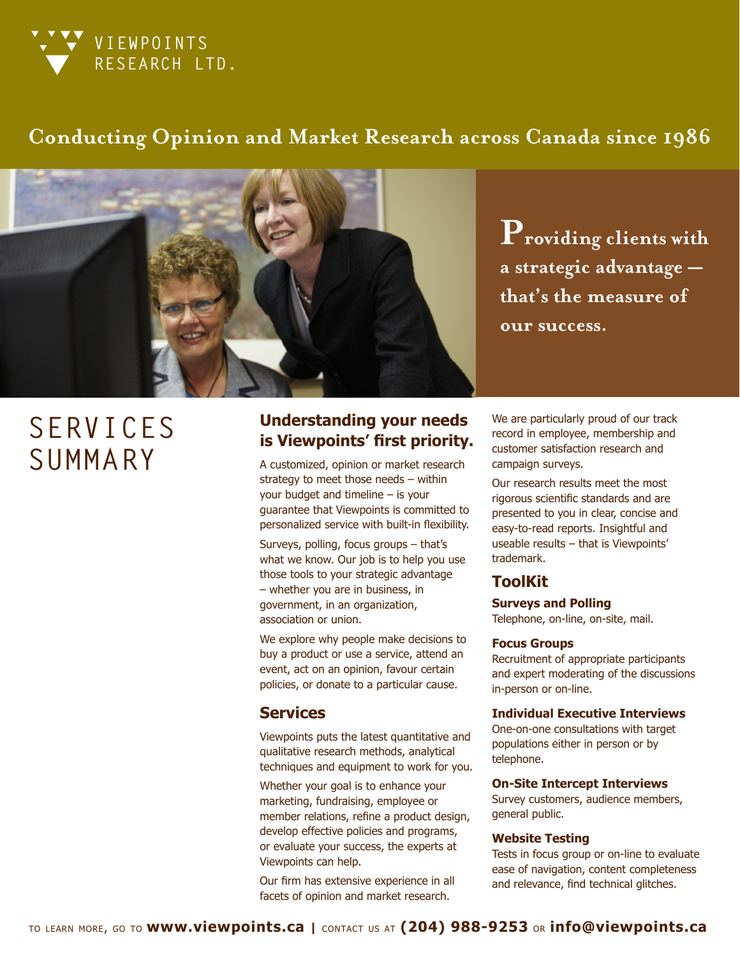

# **Conducting Opinion and Market Research across Canada since 1986**



**Providing clients with a strategic advantage that's the measure of our success.** 

# **SERVICES SUMMARY**

## **Understanding your needs is Viewpoints' first priority.**

A customized, opinion or market research strategy to meet those needs – within your budget and timeline – is your guarantee that Viewpoints is committed to personalized service with built-in flexibility.

Surveys, polling, focus groups – that's what we know. Our job is to help you use those tools to your strategic advantage – whether you are in business, in government, in an organization, association or union.

We explore why people make decisions to buy a product or use a service, attend an event, act on an opinion, favour certain policies, or donate to a particular cause.

## **Services**

Viewpoints puts the latest quantitative and qualitative research methods, analytical techniques and equipment to work for you.

Whether your goal is to enhance your marketing, fundraising, employee or member relations, refine a product design, develop effective policies and programs, or evaluate your success, the experts at Viewpoints can help.

Our firm has extensive experience in all facets of opinion and market research.

We are particularly proud of our track record in employee, membership and customer satisfaction research and campaign surveys.

Our research results meet the most rigorous scientific standards and are presented to you in clear, concise and easy-to-read reports. Insightful and useable results – that is Viewpoints' trademark.

## **ToolKit**

**Surveys and Polling**

Telephone, on-line, on-site, mail.

#### **Focus Groups**

Recruitment of appropriate participants and expert moderating of the discussions in-person or on-line.

#### **Individual Executive Interviews**

One-on-one consultations with target populations either in person or by telephone.

#### **On-Site Intercept Interviews**

Survey customers, audience members, general public.

#### **Website Testing**

Tests in focus group or on-line to evaluate ease of navigation, content completeness and relevance, find technical glitches.